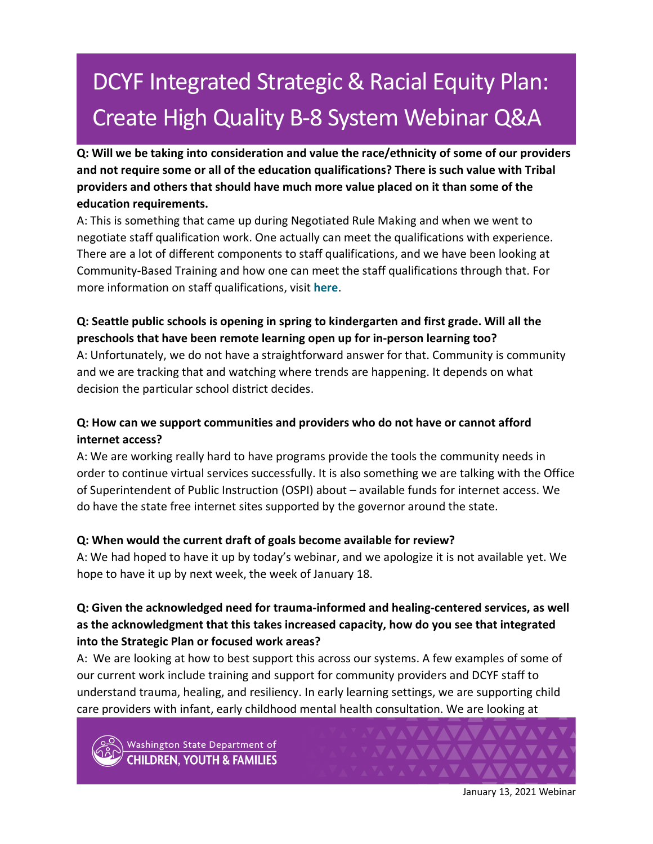# DCYF Integrated Strategic & Racial Equity Plan: Create High Quality B-8 System Webinar Q&A

**Q: Will we be taking into consideration and value the race/ethnicity of some of our providers and not require some or all of the education qualifications? There is such value with Tribal providers and others that should have much more value placed on it than some of the education requirements.**

A: This is something that came up during Negotiated Rule Making and when we went to negotiate staff qualification work. One actually can meet the qualifications with experience. There are a lot of different components to staff qualifications, and we have been looking at Community-Based Training and how one can meet the staff qualifications through that. For more information on staff qualifications, visit **[here](https://www.dcyf.wa.gov/services/earlylearning-profdev/early-learning-provider)**.

## **Q: Seattle public schools is opening in spring to kindergarten and first grade. Will all the preschools that have been remote learning open up for in-person learning too?**

A: Unfortunately, we do not have a straightforward answer for that. Community is community and we are tracking that and watching where trends are happening. It depends on what decision the particular school district decides.

# **Q: How can we support communities and providers who do not have or cannot afford internet access?**

A: We are working really hard to have programs provide the tools the community needs in order to continue virtual services successfully. It is also something we are talking with the Office of Superintendent of Public Instruction (OSPI) about – available funds for internet access. We do have the state free internet sites supported by the governor around the state.

#### **Q: When would the current draft of goals become available for review?**

A: We had hoped to have it up by today's webinar, and we apologize it is not available yet. We hope to have it up by next week, the week of January 18.

# **Q: Given the acknowledged need for trauma-informed and healing-centered services, as well as the acknowledgment that this takes increased capacity, how do you see that integrated into the Strategic Plan or focused work areas?**

A:We are looking at how to best support this across our systems. A few examples of some of our current work include training and support for community providers and DCYF staff to understand trauma, healing, and resiliency. In early learning settings, we are supporting child care providers with infant, early childhood mental health consultation. We are looking at



Washington State Department of **LDREN, YOUTH & FAMILIES** 



January 13, 2021 Webinar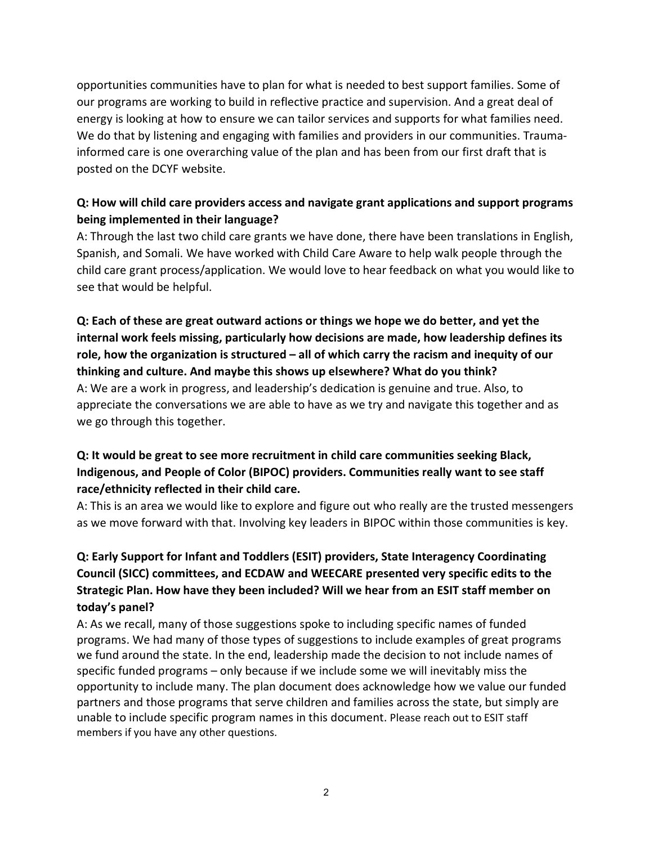opportunities communities have to plan for what is needed to best support families. Some of our programs are working to build in reflective practice and supervision. And a great deal of energy is looking at how to ensure we can tailor services and supports for what families need. We do that by listening and engaging with families and providers in our communities. Traumainformed care is one overarching value of the plan and has been from our first draft that is posted on the DCYF website.

### **Q: How will child care providers access and navigate grant applications and support programs being implemented in their language?**

A: Through the last two child care grants we have done, there have been translations in English, Spanish, and Somali. We have worked with Child Care Aware to help walk people through the child care grant process/application. We would love to hear feedback on what you would like to see that would be helpful.

**Q: Each of these are great outward actions or things we hope we do better, and yet the internal work feels missing, particularly how decisions are made, how leadership defines its role, how the organization is structured – all of which carry the racism and inequity of our thinking and culture. And maybe this shows up elsewhere? What do you think?** A: We are a work in progress, and leadership's dedication is genuine and true. Also, to appreciate the conversations we are able to have as we try and navigate this together and as we go through this together.

#### **Q: It would be great to see more recruitment in child care communities seeking Black, Indigenous, and People of Color (BIPOC) providers. Communities really want to see staff race/ethnicity reflected in their child care.**

A: This is an area we would like to explore and figure out who really are the trusted messengers as we move forward with that. Involving key leaders in BIPOC within those communities is key.

# **Q: Early Support for Infant and Toddlers (ESIT) providers, State Interagency Coordinating Council (SICC) committees, and ECDAW and WEECARE presented very specific edits to the Strategic Plan. How have they been included? Will we hear from an ESIT staff member on today's panel?**

A: As we recall, many of those suggestions spoke to including specific names of funded programs. We had many of those types of suggestions to include examples of great programs we fund around the state. In the end, leadership made the decision to not include names of specific funded programs – only because if we include some we will inevitably miss the opportunity to include many. The plan document does acknowledge how we value our funded partners and those programs that serve children and families across the state, but simply are unable to include specific program names in this document. Please reach out to ESIT staff members if you have any other questions.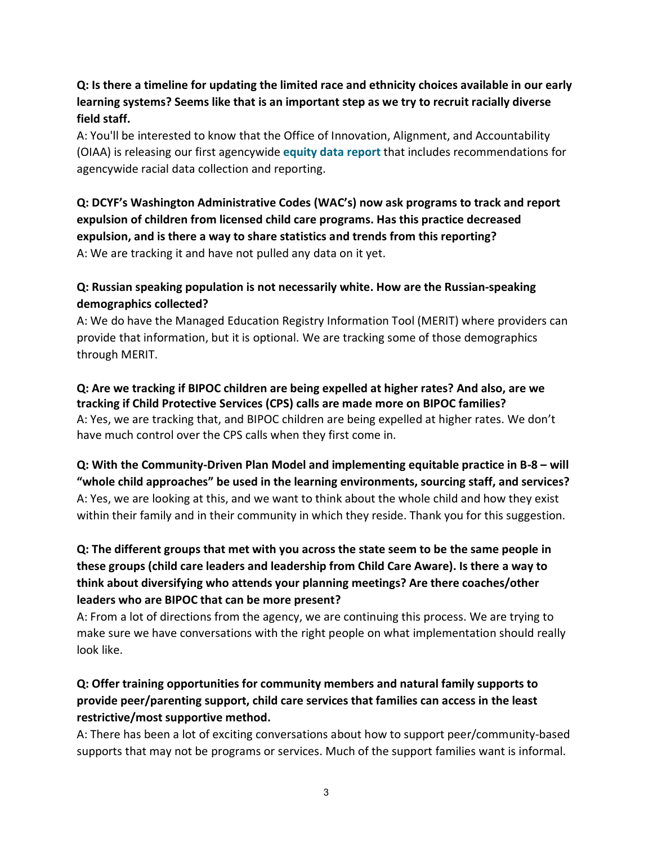**Q: Is there a timeline for updating the limited race and ethnicity choices available in our early learning systems? Seems like that is an important step as we try to recruit racially diverse field staff.**

A: You'll be interested to know that the Office of Innovation, Alignment, and Accountability (OIAA) is releasing our first agencywide **[equity data report](https://www.dcyf.wa.gov/sites/default/files/pdf/reports/OIAAEquityData2021.pdf)** that includes recommendations for agencywide racial data collection and reporting.

### **Q: DCYF's Washington Administrative Codes (WAC's) now ask programs to track and report expulsion of children from licensed child care programs. Has this practice decreased expulsion, and is there a way to share statistics and trends from this reporting?** A: We are tracking it and have not pulled any data on it yet.

#### **Q: Russian speaking population is not necessarily white. How are the Russian-speaking demographics collected?**

A: We do have the Managed Education Registry Information Tool (MERIT) where providers can provide that information, but it is optional. We are tracking some of those demographics through MERIT.

**Q: Are we tracking if BIPOC children are being expelled at higher rates? And also, are we tracking if Child Protective Services (CPS) calls are made more on BIPOC families?**  A: Yes, we are tracking that, and BIPOC children are being expelled at higher rates. We don't have much control over the CPS calls when they first come in.

**Q: With the Community-Driven Plan Model and implementing equitable practice in B-8 – will "whole child approaches" be used in the learning environments, sourcing staff, and services?** A: Yes, we are looking at this, and we want to think about the whole child and how they exist within their family and in their community in which they reside. Thank you for this suggestion.

# **Q: The different groups that met with you across the state seem to be the same people in these groups (child care leaders and leadership from Child Care Aware). Is there a way to think about diversifying who attends your planning meetings? Are there coaches/other leaders who are BIPOC that can be more present?**

A: From a lot of directions from the agency, we are continuing this process. We are trying to make sure we have conversations with the right people on what implementation should really look like.

# **Q: Offer training opportunities for community members and natural family supports to provide peer/parenting support, child care services that families can access in the least restrictive/most supportive method.**

A: There has been a lot of exciting conversations about how to support peer/community-based supports that may not be programs or services. Much of the support families want is informal.